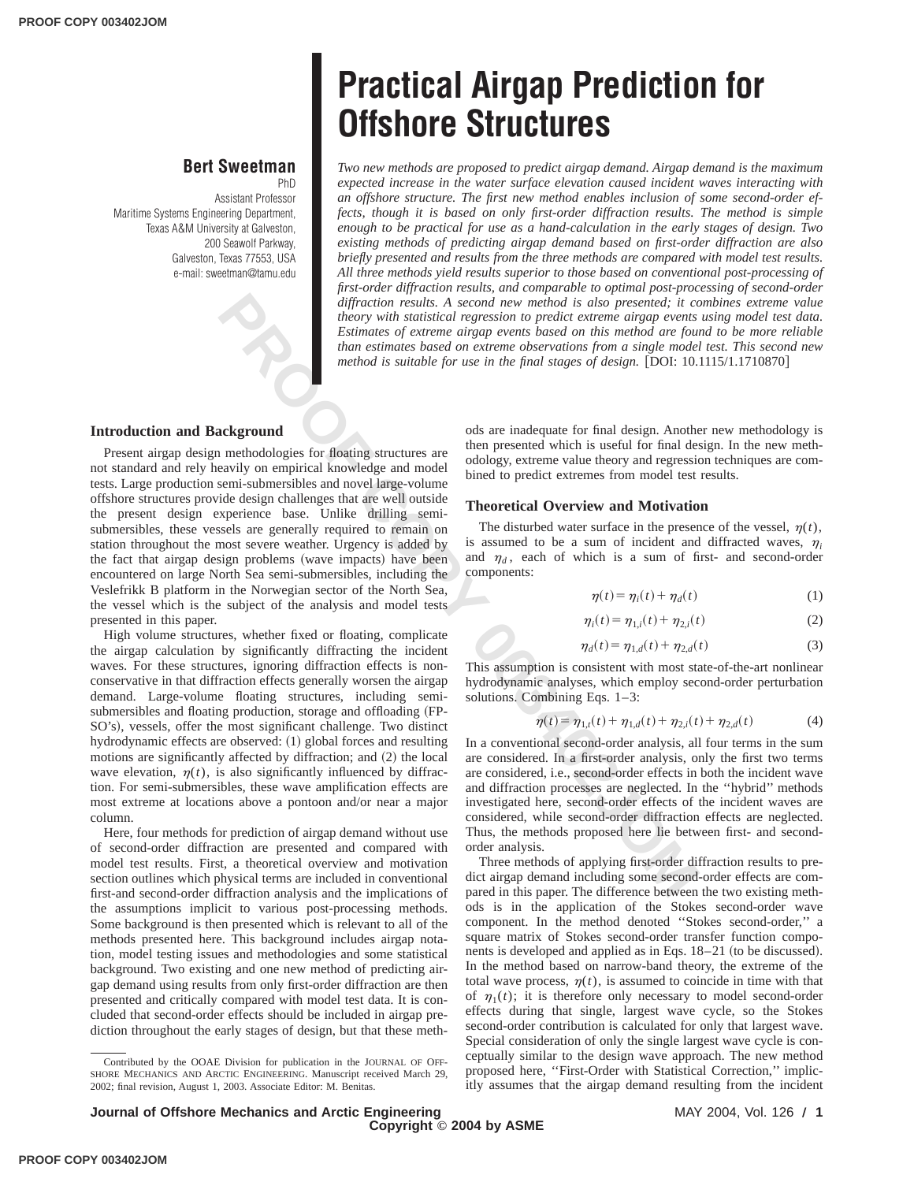# **Bert Sweetman**

PhD Assistant Professor Maritime Systems Engineering Department, Texas A&M University at Galveston, 200 Seawolf Parkway, Galveston, Texas 77553, USA e-mail: sweetman@tamu.edu

# **Practical Airgap Prediction for Offshore Structures**

*Two new methods are proposed to predict airgap demand. Airgap demand is the maximum expected increase in the water surface elevation caused incident waves interacting with an offshore structure. The first new method enables inclusion of some second-order effects, though it is based on only first-order diffraction results. The method is simple enough to be practical for use as a hand-calculation in the early stages of design. Two existing methods of predicting airgap demand based on first-order diffraction are also briefly presented and results from the three methods are compared with model test results. All three methods yield results superior to those based on conventional post-processing of first-order diffraction results, and comparable to optimal post-processing of second-order diffraction results. A second new method is also presented; it combines extreme value theory with statistical regression to predict extreme airgap events using model test data. Estimates of extreme airgap events based on this method are found to be more reliable than estimates based on extreme observations from a single model test. This second new method is suitable for use in the final stages of design.* [DOI: 10.1115/1.1710870]

# **Introduction and Background**

Present airgap design methodologies for floating structures are not standard and rely heavily on empirical knowledge and model tests. Large production semi-submersibles and novel large-volume offshore structures provide design challenges that are well outside the present design experience base. Unlike drilling semisubmersibles, these vessels are generally required to remain on station throughout the most severe weather. Urgency is added by the fact that airgap design problems (wave impacts) have been encountered on large North Sea semi-submersibles, including the Veslefrikk B platform in the Norwegian sector of the North Sea, the vessel which is the subject of the analysis and model tests presented in this paper.

*PROPERTIFY THE CONFIGURATION CONFIGURE TRANSPARENT (FIGURE 10)***<br>** *RESERIENT with statistical regers to predict carriere discussed on this method is a discussed on the particular energy with statistical regers based on d* High volume structures, whether fixed or floating, complicate the airgap calculation by significantly diffracting the incident waves. For these structures, ignoring diffraction effects is nonconservative in that diffraction effects generally worsen the airgap demand. Large-volume floating structures, including semisubmersibles and floating production, storage and offloading (FP-SO's), vessels, offer the most significant challenge. Two distinct hydrodynamic effects are observed:  $(1)$  global forces and resulting motions are significantly affected by diffraction; and  $(2)$  the local wave elevation,  $\eta(t)$ , is also significantly influenced by diffraction. For semi-submersibles, these wave amplification effects are most extreme at locations above a pontoon and/or near a major column.

Here, four methods for prediction of airgap demand without use of second-order diffraction are presented and compared with model test results. First, a theoretical overview and motivation section outlines which physical terms are included in conventional first-and second-order diffraction analysis and the implications of the assumptions implicit to various post-processing methods. Some background is then presented which is relevant to all of the methods presented here. This background includes airgap notation, model testing issues and methodologies and some statistical background. Two existing and one new method of predicting airgap demand using results from only first-order diffraction are then presented and critically compared with model test data. It is concluded that second-order effects should be included in airgap prediction throughout the early stages of design, but that these meth-

ods are inadequate for final design. Another new methodology is then presented which is useful for final design. In the new methodology, extreme value theory and regression techniques are combined to predict extremes from model test results.

# **Theoretical Overview and Motivation**

The disturbed water surface in the presence of the vessel,  $\eta(t)$ , is assumed to be a sum of incident and diffracted waves,  $\eta_i$ and  $\eta_d$ , each of which is a sum of first- and second-order components:

$$
\eta(t) = \eta_i(t) + \eta_d(t) \tag{1}
$$

$$
\eta_i(t) = \eta_{1,i}(t) + \eta_{2,i}(t) \tag{2}
$$

$$
\eta_d(t) = \eta_{1,d}(t) + \eta_{2,d}(t)
$$
\n(3)

This assumption is consistent with most state-of-the-art nonlinear hydrodynamic analyses, which employ second-order perturbation solutions. Combining Eqs. 1–3:

$$
\eta(t) = \eta_{1,t}(t) + \eta_{1,d}(t) + \eta_{2,t}(t) + \eta_{2,d}(t)
$$
\n(4)

In a conventional second-order analysis, all four terms in the sum are considered. In a first-order analysis, only the first two terms are considered, i.e., second-order effects in both the incident wave and diffraction processes are neglected. In the ''hybrid'' methods investigated here, second-order effects of the incident waves are considered, while second-order diffraction effects are neglected. Thus, the methods proposed here lie between first- and secondorder analysis.

Three methods of applying first-order diffraction results to predict airgap demand including some second-order effects are compared in this paper. The difference between the two existing methods is in the application of the Stokes second-order wave component. In the method denoted ''Stokes second-order,'' a square matrix of Stokes second-order transfer function components is developed and applied as in Eqs.  $18-21$  (to be discussed). In the method based on narrow-band theory, the extreme of the total wave process,  $\eta(t)$ , is assumed to coincide in time with that of  $\eta_1(t)$ ; it is therefore only necessary to model second-order effects during that single, largest wave cycle, so the Stokes second-order contribution is calculated for only that largest wave. Special consideration of only the single largest wave cycle is conceptually similar to the design wave approach. The new method proposed here, ''First-Order with Statistical Correction,'' implicitly assumes that the airgap demand resulting from the incident

Contributed by the OOAE Division for publication in the JOURNAL OF OFF-SHORE MECHANICS AND ARCTIC ENGINEERING. Manuscript received March 29, 2002; final revision, August 1, 2003. Associate Editor: M. Benitas.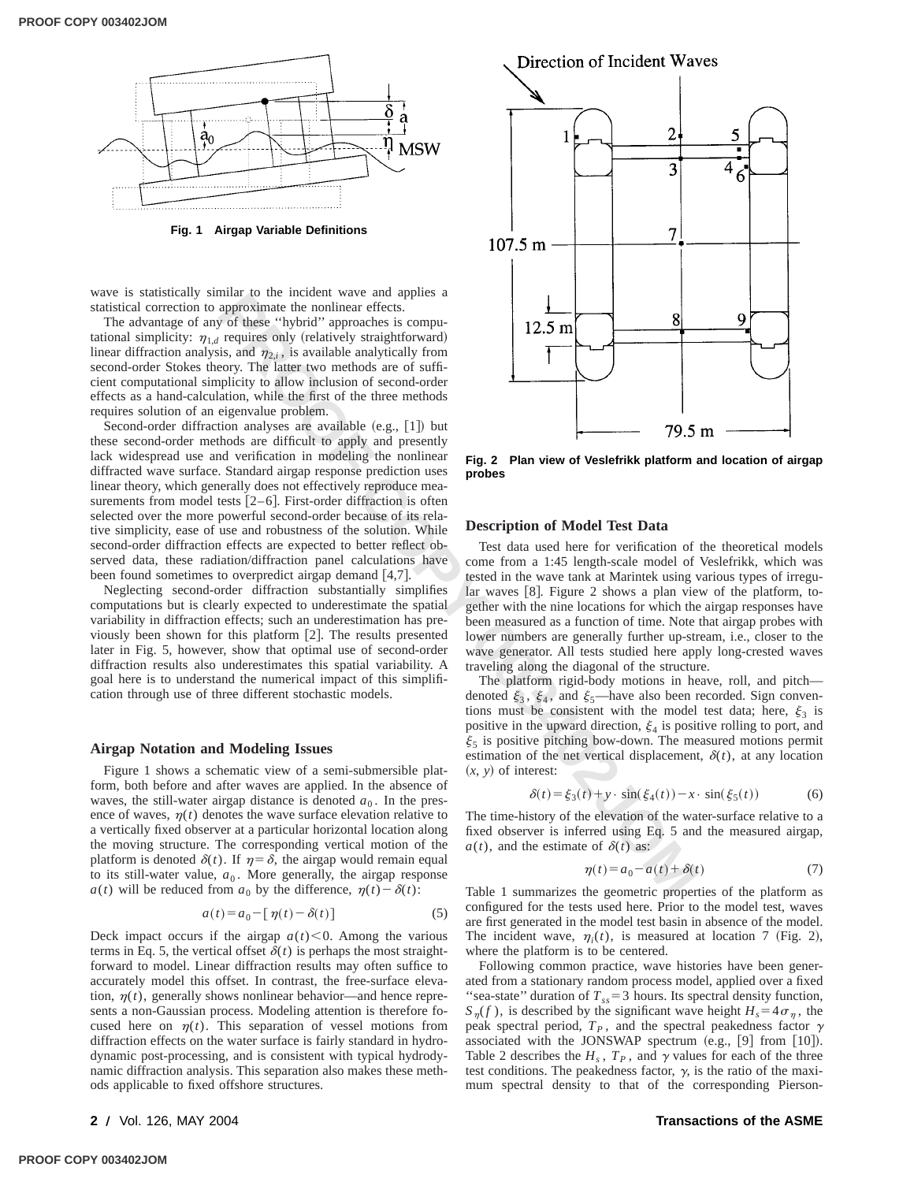

**Fig. 1 Airgap Variable Definitions**

statistical correction to approximate the nonlinear effects.

The advantage of any of these ''hybrid'' approaches is computational simplicity:  $\eta_{1,d}$  requires only (relatively straightforward) linear diffraction analysis, and  $\eta_{2,i}$ , is available analytically from second-order Stokes theory. The latter two methods are of sufficient computational simplicity to allow inclusion of second-order effects as a hand-calculation, while the first of the three methods requires solution of an eigenvalue problem.

wave is statistically similar to the incident wave und applies a particular statistical correction to approximate the molecular effects is computational simplicity  $\tau_{2,\sigma}$  requires ably (relatively starialtific wave)<br>ci Second-order diffraction analyses are available (e.g., [1]) but these second-order methods are difficult to apply and presently lack widespread use and verification in modeling the nonlinear diffracted wave surface. Standard airgap response prediction uses linear theory, which generally does not effectively reproduce measurements from model tests  $[2-6]$ . First-order diffraction is often selected over the more powerful second-order because of its relative simplicity, ease of use and robustness of the solution. While second-order diffraction effects are expected to better reflect observed data, these radiation/diffraction panel calculations have been found sometimes to overpredict airgap demand  $[4,7]$ .

Neglecting second-order diffraction substantially simplifies computations but is clearly expected to underestimate the spatial variability in diffraction effects; such an underestimation has previously been shown for this platform  $[2]$ . The results presented later in Fig. 5, however, show that optimal use of second-order diffraction results also underestimates this spatial variability. A goal here is to understand the numerical impact of this simplification through use of three different stochastic models.

# **Airgap Notation and Modeling Issues**

Figure 1 shows a schematic view of a semi-submersible platform, both before and after waves are applied. In the absence of waves, the still-water airgap distance is denoted  $a_0$ . In the presence of waves,  $\eta(t)$  denotes the wave surface elevation relative to a vertically fixed observer at a particular horizontal location along the moving structure. The corresponding vertical motion of the platform is denoted  $\delta(t)$ . If  $\eta = \delta$ , the airgap would remain equal to its still-water value,  $a_0$ . More generally, the airgap response *a*(*t*) will be reduced from *a*<sub>0</sub> by the difference,  $\eta(t) - \delta(t)$ :

$$
a(t) = a_0 - [\eta(t) - \delta(t)] \tag{5}
$$

Deck impact occurs if the airgap  $a(t)$  < 0. Among the various terms in Eq. 5, the vertical offset  $\delta(t)$  is perhaps the most straightforward to model. Linear diffraction results may often suffice to accurately model this offset. In contrast, the free-surface elevation,  $\eta(t)$ , generally shows nonlinear behavior—and hence represents a non-Gaussian process. Modeling attention is therefore focused here on  $\eta(t)$ . This separation of vessel motions from diffraction effects on the water surface is fairly standard in hydrodynamic post-processing, and is consistent with typical hydrodynamic diffraction analysis. This separation also makes these methods applicable to fixed offshore structures.

Direction of Incident Waves



**Fig. 2 Plan view of Veslefrikk platform and location of airgap probes**

# **Description of Model Test Data**

Test data used here for verification of the theoretical models come from a 1:45 length-scale model of Veslefrikk, which was tested in the wave tank at Marintek using various types of irregular waves  $[8]$ . Figure 2 shows a plan view of the platform, together with the nine locations for which the airgap responses have been measured as a function of time. Note that airgap probes with lower numbers are generally further up-stream, i.e., closer to the wave generator. All tests studied here apply long-crested waves traveling along the diagonal of the structure.

The platform rigid-body motions in heave, roll, and pitch denoted  $\xi_3$ ,  $\xi_4$ , and  $\xi_5$ —have also been recorded. Sign conventions must be consistent with the model test data; here,  $\xi_3$  is positive in the upward direction,  $\xi_4$  is positive rolling to port, and  $\xi_5$  is positive pitching bow-down. The measured motions permit estimation of the net vertical displacement,  $\delta(t)$ , at any location  $(x, y)$  of interest:

$$
\delta(t) = \xi_3(t) + y \cdot \sin(\xi_4(t)) - x \cdot \sin(\xi_5(t))
$$
 (6)

The time-history of the elevation of the water-surface relative to a fixed observer is inferred using Eq. 5 and the measured airgap,  $a(t)$ , and the estimate of  $\delta(t)$  as:

$$
\eta(t) = a_0 - a(t) + \delta(t) \tag{7}
$$

Table 1 summarizes the geometric properties of the platform as configured for the tests used here. Prior to the model test, waves are first generated in the model test basin in absence of the model. The incident wave,  $\eta_i(t)$ , is measured at location 7 (Fig. 2), where the platform is to be centered.

Following common practice, wave histories have been generated from a stationary random process model, applied over a fixed "sea-state" duration of  $T_{ss}$ =3 hours. Its spectral density function,  $S_n(f)$ , is described by the significant wave height  $H_s = 4\sigma_n$ , the peak spectral period,  $T_p$ , and the spectral peakedness factor  $\gamma$ associated with the JONSWAP spectrum  $(e.g., [9]$  from  $[10]$ ). Table 2 describes the  $H_s$ ,  $T_p$ , and  $\gamma$  values for each of the three test conditions. The peakedness factor,  $\gamma$ , is the ratio of the maximum spectral density to that of the corresponding Pierson-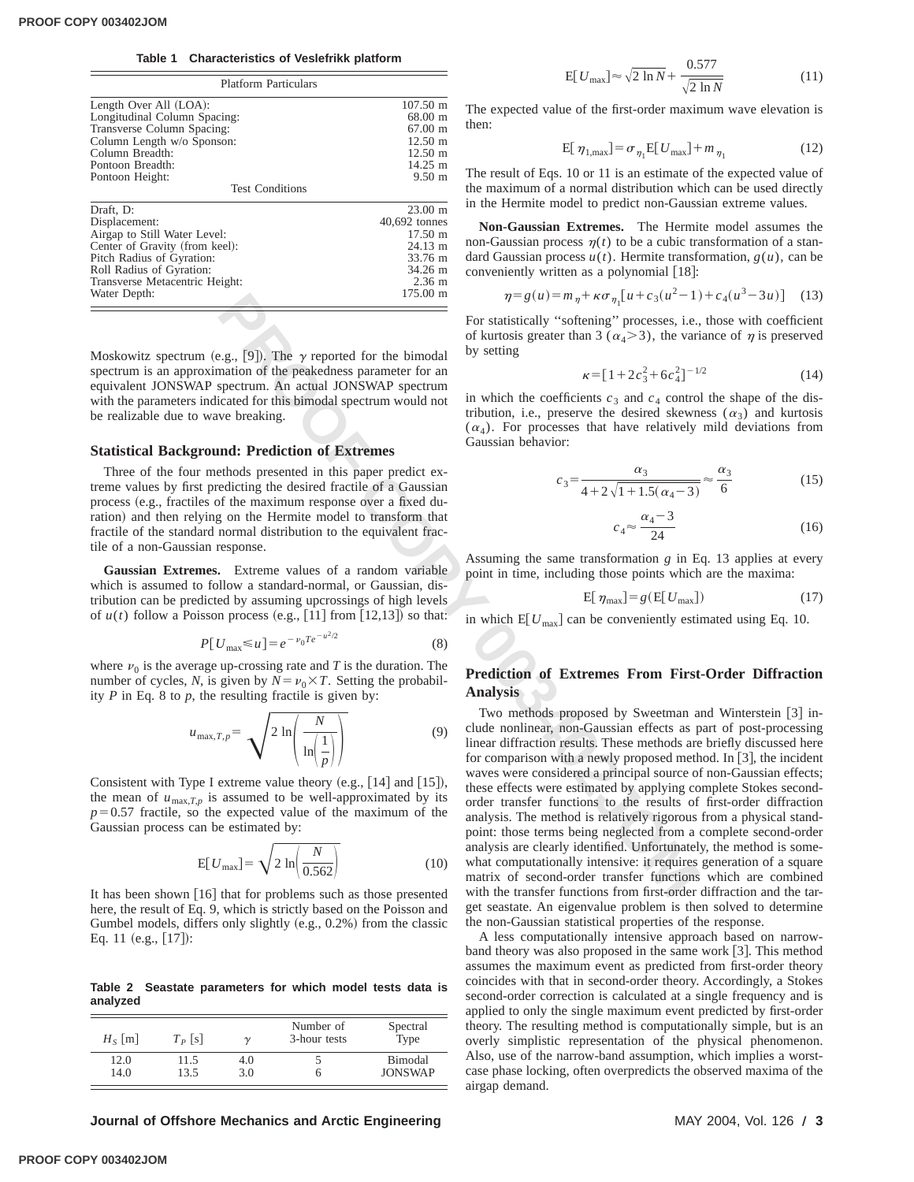**Table 1 Characteristics of Veslefrikk platform**

| <b>Platform Particulars</b>    |                    |  |  |  |
|--------------------------------|--------------------|--|--|--|
| Length Over All (LOA):         | $107.50 \text{ m}$ |  |  |  |
| Longitudinal Column Spacing:   | 68.00 m            |  |  |  |
| Transverse Column Spacing:     | $67.00 \text{ m}$  |  |  |  |
| Column Length w/o Sponson:     | $12.50 \text{ m}$  |  |  |  |
| Column Breadth:                | $12.50 \text{ m}$  |  |  |  |
| Pontoon Breadth:               | $14.25 \text{ m}$  |  |  |  |
| Pontoon Height:                | $9.50 \text{ m}$   |  |  |  |
| <b>Test Conditions</b>         |                    |  |  |  |
| Draft, D:                      | $23.00 \text{ m}$  |  |  |  |
| Displacement:                  | 40,692 tonnes      |  |  |  |
| Airgap to Still Water Level:   | $17.50 \text{ m}$  |  |  |  |
| Center of Gravity (from keel): | $24.13 \text{ m}$  |  |  |  |
| Pitch Radius of Gyration:      | 33.76 m            |  |  |  |
| Roll Radius of Gyration:       | 34.26 m            |  |  |  |
| Transverse Metacentric Height: | $2.36 \text{ m}$   |  |  |  |
| Water Depth:                   | 175.00 m           |  |  |  |

Moskowitz spectrum (e.g., [9]). The  $\gamma$  reported for the bimodal spectrum is an approximation of the peakedness parameter for an equivalent JONSWAP spectrum. An actual JONSWAP spectrum with the parameters indicated for this bimodal spectrum would not be realizable due to wave breaking.

# **Statistical Background: Prediction of Extremes**

Three of the four methods presented in this paper predict extreme values by first predicting the desired fractile of a Gaussian process (e.g., fractiles of the maximum response over a fixed duration) and then relying on the Hermite model to transform that fractile of the standard normal distribution to the equivalent fractile of a non-Gaussian response.

**Gaussian Extremes.** Extreme values of a random variable which is assumed to follow a standard-normal, or Gaussian, distribution can be predicted by assuming upcrossings of high levels of  $u(t)$  follow a Poisson process (e.g.,  $[11]$  from  $[12,13]$ ) so that:

$$
P[U_{\text{max}} \le u] = e^{-\nu_0 T e^{-u^2/2}}
$$
\n(8)

where  $\nu_0$  is the average up-crossing rate and *T* is the duration. The number of cycles, *N*, is given by  $N = \nu_0 \times T$ . Setting the probability *P* in Eq. 8 to *p*, the resulting fractile is given by:

$$
u_{\max,T,p} = \sqrt{2 \ln \left( \frac{N}{\ln \left( \frac{1}{p} \right)} \right)}
$$
(9)

Consistent with Type I extreme value theory  $(e.g., [14] \text{ and } [15]),$ the mean of  $u_{\text{max},T,p}$  is assumed to be well-approximated by its  $p=0.57$  fractile, so the expected value of the maximum of the Gaussian process can be estimated by:

$$
E[U_{\text{max}}] = \sqrt{2 \ln \left( \frac{N}{0.562} \right)}
$$
 (10)

It has been shown [16] that for problems such as those presented here, the result of Eq. 9, which is strictly based on the Poisson and Gumbel models, differs only slightly  $(e.g., 0.2%)$  from the classic Eq. 11 (e.g.,  $\lfloor 17 \rfloor$ ):

**Table 2 Seastate parameters for which model tests data is analyzed**

| $H_S$ [m] | $T_P$   s | $\gamma$ | Number of<br>3-hour tests | Spectral<br>Type |
|-----------|-----------|----------|---------------------------|------------------|
| 12.0      | 11.5      | 4.0      |                           | Bimodal          |
| 14.0      | 13.5      | 3.0      |                           | <b>JONSWAP</b>   |

 $E[ U_{\text{max}} ] \approx \sqrt{2 \ln N} + \frac{0.577}{\sqrt{2 \ln N}}$  $\sqrt{2 \ln N}$ (11)

The expected value of the first-order maximum wave elevation is then:

$$
E[\eta_{1,\text{max}}] = \sigma_{\eta_1} E[U_{\text{max}}] + m_{\eta_1}
$$
 (12)

The result of Eqs. 10 or 11 is an estimate of the expected value of the maximum of a normal distribution which can be used directly in the Hermite model to predict non-Gaussian extreme values.

**Non-Gaussian Extremes.** The Hermite model assumes the non-Gaussian process  $\eta(t)$  to be a cubic transformation of a standard Gaussian process *u*(*t*). Hermite transformation, *g*(*u*), can be conveniently written as a polynomial  $[18]$ :

$$
\eta = g(u) = m_{\eta} + \kappa \sigma_{\eta_1} [u + c_3(u^2 - 1) + c_4(u^3 - 3u)] \tag{13}
$$

For statistically ''softening'' processes, i.e., those with coefficient of kurtosis greater than 3 ( $\alpha_4$ >3), the variance of  $\eta$  is preserved by setting

$$
\kappa = [1 + 2c_3^2 + 6c_4^2]^{-1/2} \tag{14}
$$

in which the coefficients  $c_3$  and  $c_4$  control the shape of the distribution, i.e., preserve the desired skewness  $(\alpha_3)$  and kurtosis  $(\alpha_4)$ . For processes that have relatively mild deviations from Gaussian behavior:

$$
c_3 = \frac{\alpha_3}{4 + 2\sqrt{1 + 1.5(\alpha_4 - 3)}} \approx \frac{\alpha_3}{6}
$$
 (15)

$$
c_4 \approx \frac{\alpha_4 - 3}{24} \tag{16}
$$

Assuming the same transformation *g* in Eq. 13 applies at every point in time, including those points which are the maxima:

$$
E[\eta_{max}] = g(E[U_{max}])
$$
\n(17)

in which  $E[U_{\text{max}}]$  can be conveniently estimated using Eq. 10.

# **Prediction of Extremes From First-Order Diffraction Analysis**

**For statically "software"**<br> **For statically "software"** process, i.e.<br> **For statically "softening"** process, i.e.<br> **For statically "software"** for the bimodal by setting<br>  $\kappa = [1 + 2c_3^2 + 6c_4^2]^{-1}$ <br>
and in ONSWAP spect Two methods proposed by Sweetman and Winterstein [3] include nonlinear, non-Gaussian effects as part of post-processing linear diffraction results. These methods are briefly discussed here for comparison with a newly proposed method. In  $[3]$ , the incident waves were considered a principal source of non-Gaussian effects; these effects were estimated by applying complete Stokes secondorder transfer functions to the results of first-order diffraction analysis. The method is relatively rigorous from a physical standpoint: those terms being neglected from a complete second-order analysis are clearly identified. Unfortunately, the method is somewhat computationally intensive: it requires generation of a square matrix of second-order transfer functions which are combined with the transfer functions from first-order diffraction and the target seastate. An eigenvalue problem is then solved to determine the non-Gaussian statistical properties of the response.

> A less computationally intensive approach based on narrowband theory was also proposed in the same work  $[3]$ . This method assumes the maximum event as predicted from first-order theory coincides with that in second-order theory. Accordingly, a Stokes second-order correction is calculated at a single frequency and is applied to only the single maximum event predicted by first-order theory. The resulting method is computationally simple, but is an overly simplistic representation of the physical phenomenon. Also, use of the narrow-band assumption, which implies a worstcase phase locking, often overpredicts the observed maxima of the airgap demand.

**Journal of Offshore Mechanics and Arctic Engineering MAY 2004, Vol. 126 / 3**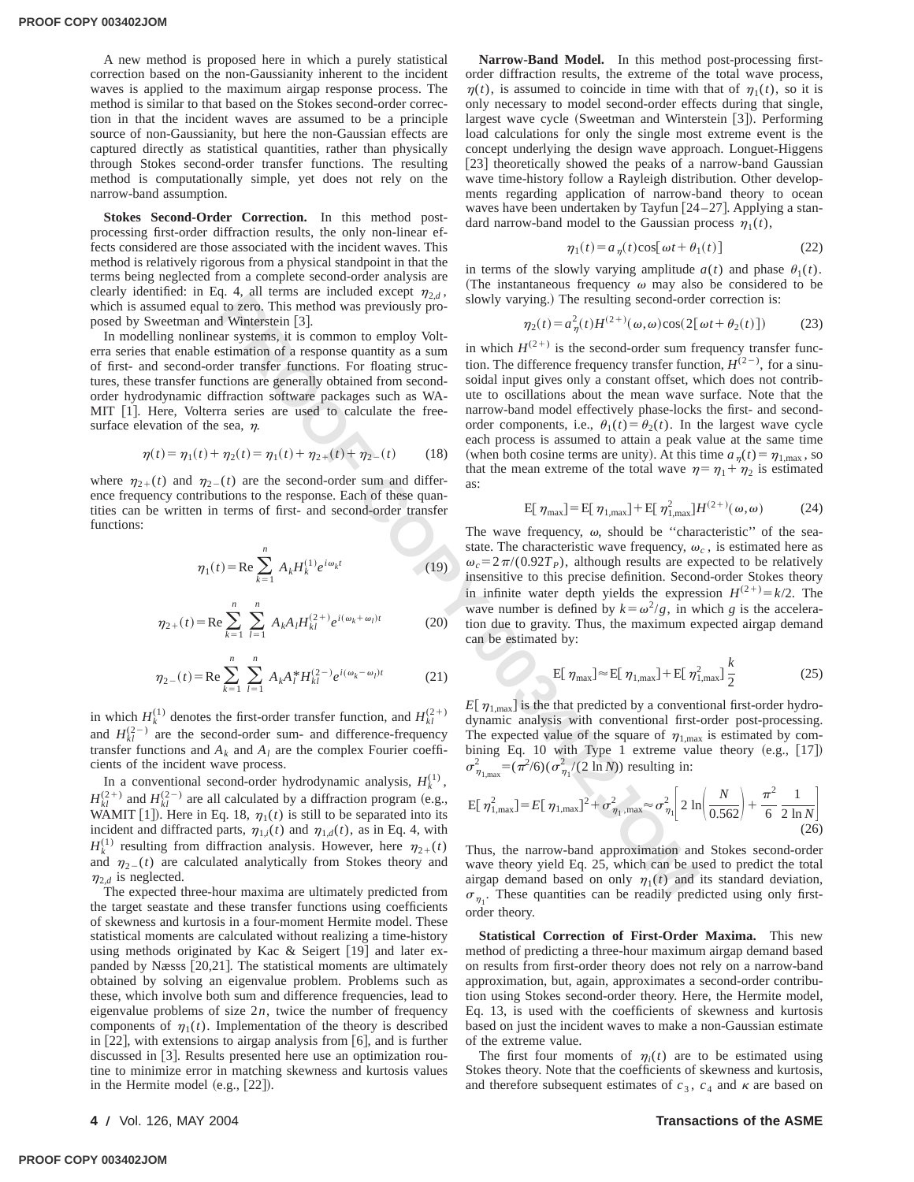A new method is proposed here in which a purely statistical correction based on the non-Gaussianity inherent to the incident waves is applied to the maximum airgap response process. The method is similar to that based on the Stokes second-order correction in that the incident waves are assumed to be a principle source of non-Gaussianity, but here the non-Gaussian effects are captured directly as statistical quantities, rather than physically through Stokes second-order transfer functions. The resulting method is computationally simple, yet does not rely on the narrow-band assumption.

**Stokes Second-Order Correction.** In this method postprocessing first-order diffraction results, the only non-linear effects considered are those associated with the incident waves. This method is relatively rigorous from a physical standpoint in that the terms being neglected from a complete second-order analysis are clearly identified: in Eq. 4, all terms are included except  $\eta_{2,d}$ , which is assumed equal to zero. This method was previously proposed by Sweetman and Winterstein [3].

In modelling nonlinear systems, it is common to employ Volterra series that enable estimation of a response quantity as a sum of first- and second-order transfer functions. For floating structures, these transfer functions are generally obtained from secondorder hydrodynamic diffraction software packages such as WA-MIT [1]. Here, Volterra series are used to calculate the freesurface elevation of the sea,  $\eta$ .

$$
\eta(t) = \eta_1(t) + \eta_2(t) = \eta_1(t) + \eta_2(t) + \eta_2(t) \tag{18}
$$

where  $\eta_{2+}(t)$  and  $\eta_{2-}(t)$  are the second-order sum and difference frequency contributions to the response. Each of these quantities can be written in terms of first- and second-order transfer functions:

$$
\eta_1(t) = \text{Re} \sum_{k=1}^{n} A_k H_k^{(1)} e^{i\omega_k t}
$$
 (19)

$$
\eta_{2+}(t) = \text{Re}\sum_{k=1}^{n} \sum_{l=1}^{n} A_{k} A_{l} H_{kl}^{(2+)} e^{i(\omega_{k} + \omega_{l})t}
$$
(20)

$$
\eta_{2-}(t) = \text{Re} \sum_{k=1}^{n} \sum_{l=1}^{n} A_{k} A_{l}^{*} H_{kl}^{(2-)} e^{i(\omega_{k} - \omega_{l})t}
$$
(21)

in which  $H_k^{(1)}$  denotes the first-order transfer function, and  $H_{kl}^{(2+)}$ and  $H_{kl}^{(2-)}$  are the second-order sum- and difference-frequency transfer functions and  $A_k$  and  $A_l$  are the complex Fourier coefficients of the incident wave process.

In a conventional second-order hydrodynamic analysis,  $H_k^{(1)}$ ,  $H_{kl}^{(2+)}$  and  $H_{kl}^{(2-)}$  are all calculated by a diffraction program (e.g., WAMIT [1]). Here in Eq. 18,  $\eta_1(t)$  is still to be separated into its incident and diffracted parts,  $\eta_{1,i}(t)$  and  $\eta_{1,d}(t)$ , as in Eq. 4, with  $H_k^{(1)}$  resulting from diffraction analysis. However, here  $\eta_{2+}(t)$ and  $\eta_{2-}(t)$  are calculated analytically from Stokes theory and  $\eta_{2,d}$  is neglected.

The expected three-hour maxima are ultimately predicted from the target seastate and these transfer functions using coefficients of skewness and kurtosis in a four-moment Hermite model. These statistical moments are calculated without realizing a time-history using methods originated by Kac & Seigert  $[19]$  and later expanded by Næsss  $[20,21]$ . The statistical moments are ultimately obtained by solving an eigenvalue problem. Problems such as these, which involve both sum and difference frequencies, lead to eigenvalue problems of size  $2n$ , twice the number of frequency components of  $\eta_1(t)$ . Implementation of the theory is described in  $[22]$ , with extensions to airgap analysis from  $[6]$ , and is further discussed in [3]. Results presented here use an optimization routine to minimize error in matching skewness and kurtosis values in the Hermite model  $(e.g., [22])$ .

**Narrow-Band Model.** In this method post-processing firstorder diffraction results, the extreme of the total wave process,  $\eta(t)$ , is assumed to coincide in time with that of  $\eta_1(t)$ , so it is only necessary to model second-order effects during that single, largest wave cycle (Sweetman and Winterstein  $[3]$ ). Performing load calculations for only the single most extreme event is the concept underlying the design wave approach. Longuet-Higgens [23] theoretically showed the peaks of a narrow-band Gaussian wave time-history follow a Rayleigh distribution. Other developments regarding application of narrow-band theory to ocean waves have been undertaken by Tayfun  $[24–27]$ . Applying a standard narrow-band model to the Gaussian process  $\eta_1(t)$ ,

$$
\eta_1(t) = a_{\eta}(t)\cos[\omega t + \theta_1(t)] \tag{22}
$$

in terms of the slowly varying amplitude  $a(t)$  and phase  $\theta_1(t)$ . (The instantaneous frequency  $\omega$  may also be considered to be slowly varying.) The resulting second-order correction is:

$$
\eta_2(t) = a_\eta^2(t)H^{(2+)}(\omega,\omega)\cos(2[\omega t + \theta_2(t)]) \tag{23}
$$

**If**  $\alpha_1$  all terms are motiod except  $\eta_2$ ,  $\alpha_3$  is the must be a considerably produced that the and Winterstein [3],  $\eta_1(t) = \frac{1}{2}$  and Winterstein [3]  $\eta_2(t) = \frac{1}{2}$  and Winterstein [3]  $\eta_1(t) = \frac{1}{2}$  and Wi in which  $H^{(2+)}$  is the second-order sum frequency transfer function. The difference frequency transfer function,  $H^{(2-)}$ , for a sinusoidal input gives only a constant offset, which does not contribute to oscillations about the mean wave surface. Note that the narrow-band model effectively phase-locks the first- and secondorder components, i.e.,  $\theta_1(t) = \theta_2(t)$ . In the largest wave cycle each process is assumed to attain a peak value at the same time (when both cosine terms are unity). At this time  $a_{\eta}(t) = \eta_{1,\text{max}}$ , so that the mean extreme of the total wave  $\eta = \eta_1 + \eta_2$  is estimated as:

$$
\mathbf{E}[\boldsymbol{\eta}_{\text{max}}] = \mathbf{E}[\boldsymbol{\eta}_{1,\text{max}}] + \mathbf{E}[\boldsymbol{\eta}_{1,\text{max}}^2]H^{(2+)}(\boldsymbol{\omega},\boldsymbol{\omega}) \tag{24}
$$

The wave frequency,  $\omega$ , should be "characteristic" of the seastate. The characteristic wave frequency,  $\omega_c$ , is estimated here as  $\omega_c = 2\pi/(0.92T_P)$ , although results are expected to be relatively insensitive to this precise definition. Second-order Stokes theory in infinite water depth yields the expression  $H^{(2+)} = k/2$ . The wave number is defined by  $k = \omega^2/g$ , in which *g* is the acceleration due to gravity. Thus, the maximum expected airgap demand can be estimated by:

$$
E[\eta_{\text{max}}] \approx E[\eta_{1,\text{max}}] + E[\eta_{1,\text{max}}^2] \frac{k}{2}
$$
 (25)

*E*[ $\eta_{1,\text{max}}$ ] is the that predicted by a conventional first-order hydrodynamic analysis with conventional first-order post-processing. The expected value of the square of  $\eta_{1,\text{max}}$  is estimated by combining Eq. 10 with Type 1 extreme value theory  $(e.g., [17])$  $\sigma_{\eta_{1,\text{max}}}^2 = (\pi^2/6)(\sigma_{\eta_1}^2/(2 \ln N))$  resulting in:

$$
E[\eta_{1,\max}^2] = E[\eta_{1,\max}]^2 + \sigma_{\eta_1,\max}^2 \approx \sigma_{\eta_1}^2 \left[2\ln\left(\frac{N}{0.562}\right) + \frac{\pi^2}{6} \frac{1}{2\ln N}\right]
$$
(26)

Thus, the narrow-band approximation and Stokes second-order wave theory yield Eq. 25, which can be used to predict the total airgap demand based on only  $\eta_1(t)$  and its standard deviation,  $\sigma_{\eta_1}$ . These quantities can be readily predicted using only firstorder theory.

**Statistical Correction of First-Order Maxima.** This new method of predicting a three-hour maximum airgap demand based on results from first-order theory does not rely on a narrow-band approximation, but, again, approximates a second-order contribution using Stokes second-order theory. Here, the Hermite model, Eq. 13, is used with the coefficients of skewness and kurtosis based on just the incident waves to make a non-Gaussian estimate of the extreme value.

The first four moments of  $\eta_i(t)$  are to be estimated using Stokes theory. Note that the coefficients of skewness and kurtosis, and therefore subsequent estimates of  $c_3$ ,  $c_4$  and  $\kappa$  are based on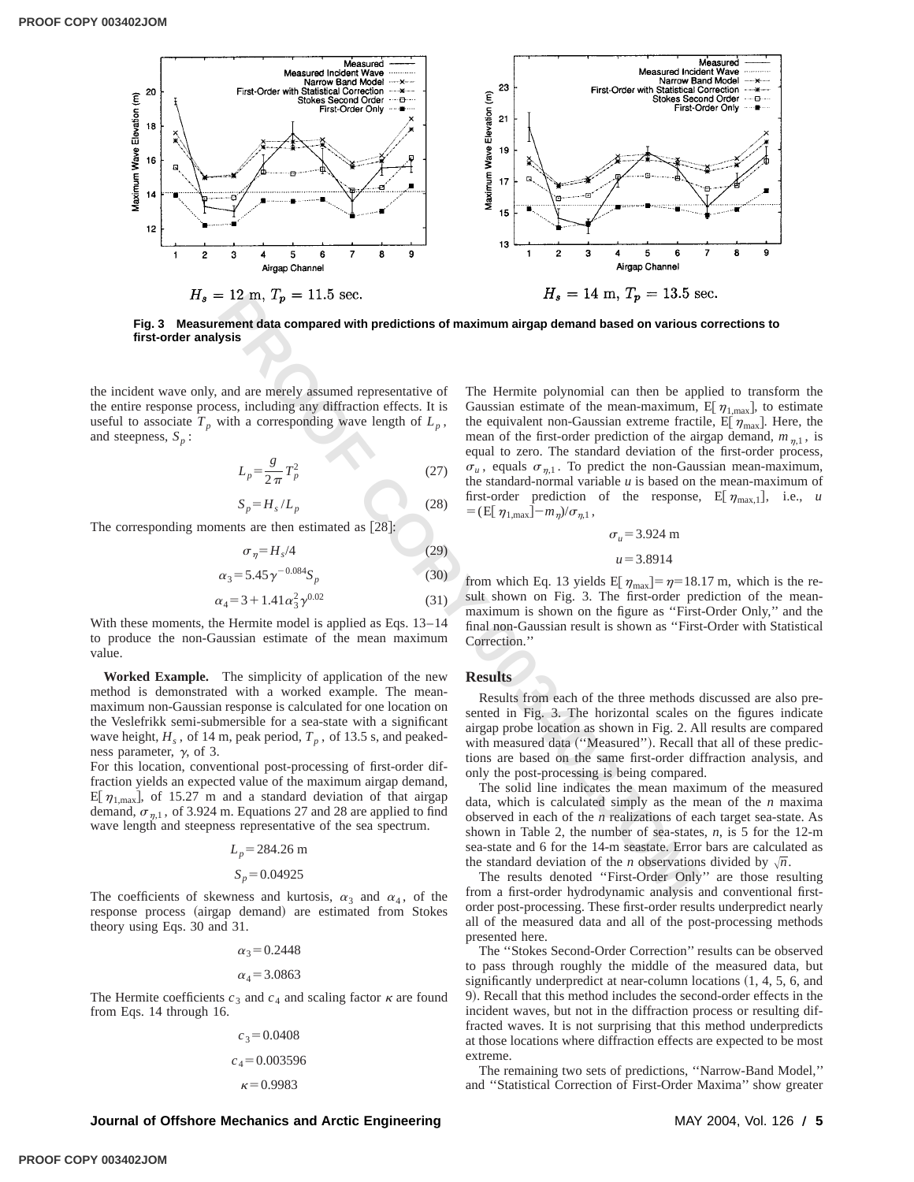

**Fig. 3 Measurement data compared with predictions of maximum airgap demand based on various corrections to first-order analysis**

the incident wave only, and are merely assumed representative of the entire response process, including any diffraction effects. It is useful to associate  $T_p$  with a corresponding wave length of  $L_p$ , and steepness,  $S_p$ :

$$
L_p = \frac{g}{2\pi} T_p^2 \tag{27}
$$

$$
S_p = H_s / L_p \tag{28}
$$

The corresponding moments are then estimated as  $[28]$ :

$$
\sigma_{\eta} = H_s/4 \tag{29}
$$

$$
\alpha_3 = 5.45 \gamma^{-0.084} S_p \tag{30}
$$

$$
\alpha_4 = 3 + 1.41 \alpha_3^2 \gamma^{0.02} \tag{31}
$$

With these moments, the Hermite model is applied as Eqs. 13–14 to produce the non-Gaussian estimate of the mean maximum value.

**Worked Example.** The simplicity of application of the new method is demonstrated with a worked example. The meanmaximum non-Gaussian response is calculated for one location on the Veslefrikk semi-submersible for a sea-state with a significant wave height,  $H_s$ , of 14 m, peak period,  $T_p$ , of 13.5 s, and peakedness parameter,  $\gamma$ , of 3.

For this location, conventional post-processing of first-order diffraction yields an expected value of the maximum airgap demand, E[ $\eta_{1,\text{max}}$ ], of 15.27 m and a standard deviation of that airgap demand,  $\sigma_{\eta,1}$ , of 3.924 m. Equations 27 and 28 are applied to find wave length and steepness representative of the sea spectrum.

# $L_p$ =284.26 m  $S = 0.04925$

$$
S_p = 0.04925
$$

The coefficients of skewness and kurtosis,  $\alpha_3$  and  $\alpha_4$ , of the response process (airgap demand) are estimated from Stokes theory using Eqs. 30 and 31.

$$
\alpha_3 = 0.2448
$$

$$
\alpha_4 = 3.0863
$$

The Hermite coefficients  $c_3$  and  $c_4$  and scaling factor  $\kappa$  are found from Eqs. 14 through 16.

$$
c_3 = 0.0408
$$

$$
c_4 = 0.003596
$$

$$
\kappa = 0.9983
$$

**F<sub>s</sub>** = 12: **m**,  $T_p$  = 11: **5** sec.<br> **Fs** = 14 **m**,  $T_p$  = 13: **5** sexuement data compared with predictions of maximum airgap demand based on various<br>
analysis<br>
any and are merely assumed representative of The Hermite p Gaussian estimate of the mean-maximum,  $E[$   $\eta_{1,max}]$ , to estimate the equivalent non-Gaussian extreme fractile,  $E[ \eta_{max} ]$ . Here, the mean of the first-order prediction of the airgap demand,  $m_{n,1}$ , is equal to zero. The standard deviation of the first-order process,  $\sigma_u$ , equals  $\sigma_{\eta,1}$ . To predict the non-Gaussian mean-maximum, the standard-normal variable *u* is based on the mean-maximum of first-order prediction of the response,  $E[\eta_{max,1}]$ , i.e., *u*  $=$  (E[  $\eta_{1,\text{max}}$ ]- $m_{\eta}/\sigma_{\eta,1}$ ,

The Hermite polynomial can then be applied to transform the

$$
\sigma_u = 3.924 \text{ m}
$$

$$
u = 3.8914
$$

from which Eq. 13 yields E[ $\eta_{\text{max}}$ ] =  $\eta$ =18.17 m, which is the result shown on Fig. 3. The first-order prediction of the meanmaximum is shown on the figure as ''First-Order Only,'' and the final non-Gaussian result is shown as ''First-Order with Statistical Correction.''

# **Results**

Results from each of the three methods discussed are also presented in Fig. 3. The horizontal scales on the figures indicate airgap probe location as shown in Fig. 2. All results are compared with measured data ("Measured"). Recall that all of these predictions are based on the same first-order diffraction analysis, and only the post-processing is being compared.

The solid line indicates the mean maximum of the measured data, which is calculated simply as the mean of the *n* maxima observed in each of the *n* realizations of each target sea-state. As shown in Table 2, the number of sea-states, *n*, is 5 for the 12-m sea-state and 6 for the 14-m seastate. Error bars are calculated as the standard deviation of the *n* observations divided by  $\sqrt{n}$ .

The results denoted ''First-Order Only'' are those resulting from a first-order hydrodynamic analysis and conventional firstorder post-processing. These first-order results underpredict nearly all of the measured data and all of the post-processing methods presented here.

The ''Stokes Second-Order Correction'' results can be observed to pass through roughly the middle of the measured data, but significantly underpredict at near-column locations  $(1, 4, 5, 6, \text{ and})$ 9). Recall that this method includes the second-order effects in the incident waves, but not in the diffraction process or resulting diffracted waves. It is not surprising that this method underpredicts at those locations where diffraction effects are expected to be most extreme.

The remaining two sets of predictions, ''Narrow-Band Model,'' and ''Statistical Correction of First-Order Maxima'' show greater

# **Journal of Offshore Mechanics and Arctic Engineering MAY 2004, Vol. 126 / 5**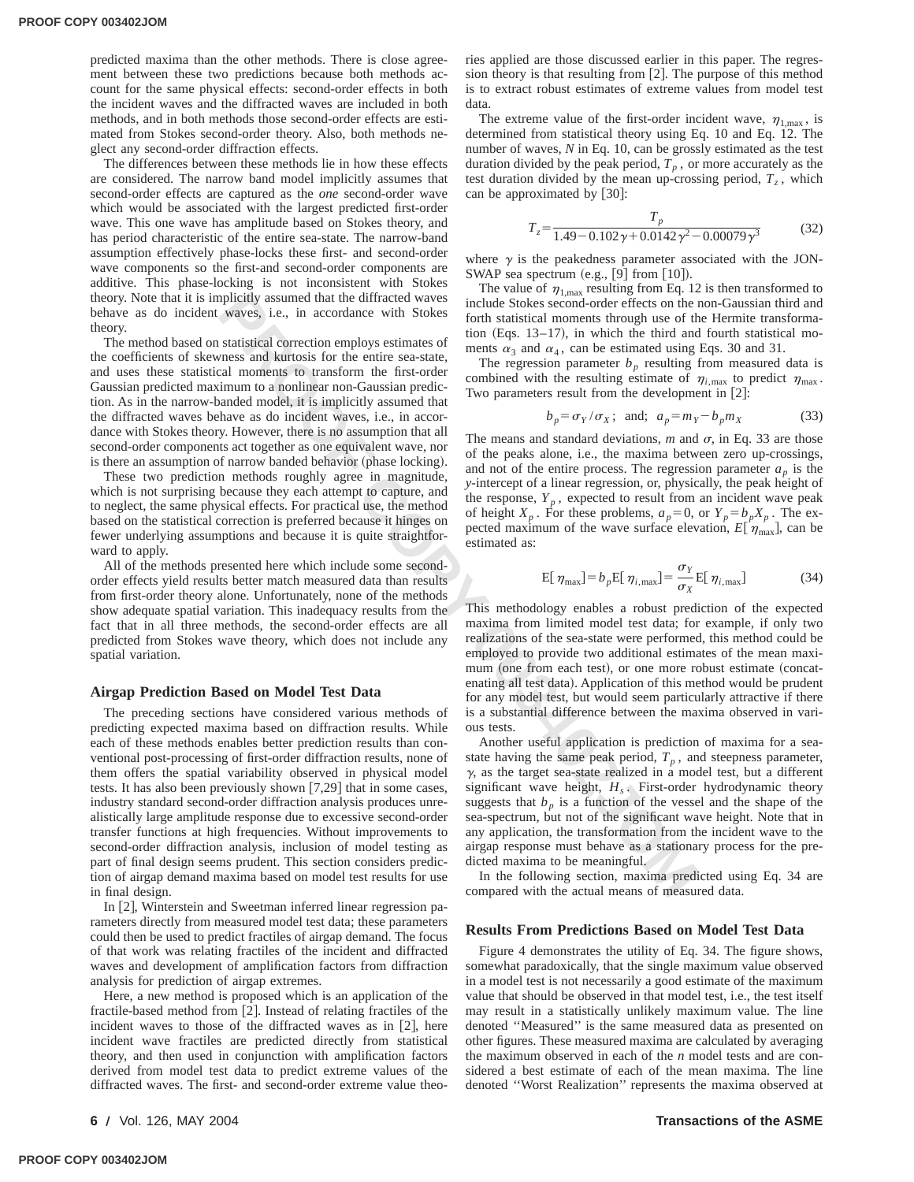predicted maxima than the other methods. There is close agreement between these two predictions because both methods account for the same physical effects: second-order effects in both the incident waves and the diffracted waves are included in both methods, and in both methods those second-order effects are estimated from Stokes second-order theory. Also, both methods neglect any second-order diffraction effects.

The differences between these methods lie in how these effects are considered. The narrow band model implicitly assumes that second-order effects are captured as the *one* second-order wave which would be associated with the largest predicted first-order wave. This one wave has amplitude based on Stokes theory, and has period characteristic of the entire sea-state. The narrow-band assumption effectively phase-locks these first- and second-order wave components so the first-and second-order components are additive. This phase-locking is not inconsistent with Stokes theory. Note that it is implicitly assumed that the diffracted waves behave as do incident waves, i.e., in accordance with Stokes theory.

The method based on statistical correction employs estimates of the coefficients of skewness and kurtosis for the entire sea-state, and uses these statistical moments to transform the first-order Gaussian predicted maximum to a nonlinear non-Gaussian prediction. As in the narrow-banded model, it is implicitly assumed that the diffracted waves behave as do incident waves, i.e., in accordance with Stokes theory. However, there is no assumption that all second-order components act together as one equivalent wave, nor is there an assumption of narrow banded behavior (phase locking).

These two prediction methods roughly agree in magnitude, which is not surprising because they each attempt to capture, and to neglect, the same physical effects. For practical use, the method based on the statistical correction is preferred because it hinges on fewer underlying assumptions and because it is quite straightforward to apply.

All of the methods presented here which include some secondorder effects yield results better match measured data than results from first-order theory alone. Unfortunately, none of the methods show adequate spatial variation. This inadequacy results from the fact that in all three methods, the second-order effects are all predicted from Stokes wave theory, which does not include any spatial variation.

#### **Airgap Prediction Based on Model Test Data**

is implicitly assumed that the diffracted waves<br>only the same of  $\eta_{\text{final}}$  reaction and the stational method in the section and the stational method in stational method in the section and the section method is the sectio The preceding sections have considered various methods of predicting expected maxima based on diffraction results. While each of these methods enables better prediction results than conventional post-processing of first-order diffraction results, none of them offers the spatial variability observed in physical model tests. It has also been previously shown  $[7,29]$  that in some cases, industry standard second-order diffraction analysis produces unrealistically large amplitude response due to excessive second-order transfer functions at high frequencies. Without improvements to second-order diffraction analysis, inclusion of model testing as part of final design seems prudent. This section considers prediction of airgap demand maxima based on model test results for use in final design.

In  $[2]$ , Winterstein and Sweetman inferred linear regression parameters directly from measured model test data; these parameters could then be used to predict fractiles of airgap demand. The focus of that work was relating fractiles of the incident and diffracted waves and development of amplification factors from diffraction analysis for prediction of airgap extremes.

Here, a new method is proposed which is an application of the fractile-based method from  $[2]$ . Instead of relating fractiles of the incident waves to those of the diffracted waves as in  $[2]$ , here incident wave fractiles are predicted directly from statistical theory, and then used in conjunction with amplification factors derived from model test data to predict extreme values of the diffracted waves. The first- and second-order extreme value theo-

ries applied are those discussed earlier in this paper. The regression theory is that resulting from  $[2]$ . The purpose of this method is to extract robust estimates of extreme values from model test data.

The extreme value of the first-order incident wave,  $\eta_{1,\text{max}}$ , is determined from statistical theory using Eq. 10 and Eq. 12. The number of waves, *N* in Eq. 10, can be grossly estimated as the test duration divided by the peak period,  $T_p$ , or more accurately as the test duration divided by the mean up-crossing period,  $T_z$ , which can be approximated by  $\lceil 30 \rceil$ :

$$
T_z = \frac{T_p}{1.49 - 0.102\gamma + 0.0142\gamma^2 - 0.00079\gamma^3}
$$
(32)

where  $\gamma$  is the peakedness parameter associated with the JON-SWAP sea spectrum  $(e.g., [9]$  from  $[10]$ .

The value of  $\eta_{1,\text{max}}$  resulting from Eq. 12 is then transformed to include Stokes second-order effects on the non-Gaussian third and forth statistical moments through use of the Hermite transformation (Eqs.  $13-17$ ), in which the third and fourth statistical moments  $\alpha_3$  and  $\alpha_4$ , can be estimated using Eqs. 30 and 31.

The regression parameter  $b<sub>p</sub>$  resulting from measured data is combined with the resulting estimate of  $\eta_{i,\text{max}}$  to predict  $\eta_{\text{max}}$ . Two parameters result from the development in  $[2]$ :

$$
b_p = \sigma_Y / \sigma_X; \text{ and; } a_p = m_Y - b_p m_X \tag{33}
$$

The means and standard deviations,  $m$  and  $\sigma$ , in Eq. 33 are those of the peaks alone, i.e., the maxima between zero up-crossings, and not of the entire process. The regression parameter  $a_p$  is the *y*-intercept of a linear regression, or, physically, the peak height of the response,  $Y_p$ , expected to result from an incident wave peak of height  $X_p$ . For these problems,  $a_p=0$ , or  $Y_p=b_pX_p$ . The expected maximum of the wave surface elevation,  $E[\eta_{\text{max}}^{\text{r}}]$ , can be estimated as:

$$
E[\eta_{max}] = b_p E[\eta_{i,max}] = \frac{\sigma_Y}{\sigma_X} E[\eta_{i,max}]
$$
 (34)

This methodology enables a robust prediction of the expected maxima from limited model test data; for example, if only two realizations of the sea-state were performed, this method could be employed to provide two additional estimates of the mean maximum (one from each test), or one more robust estimate (concatenating all test data). Application of this method would be prudent for any model test, but would seem particularly attractive if there is a substantial difference between the maxima observed in various tests.

Another useful application is prediction of maxima for a seastate having the same peak period,  $T_p$ , and steepness parameter,  $\gamma$ , as the target sea-state realized in a model test, but a different significant wave height,  $H_s$ . First-order hydrodynamic theory suggests that  $b<sub>p</sub>$  is a function of the vessel and the shape of the sea-spectrum, but not of the significant wave height. Note that in any application, the transformation from the incident wave to the airgap response must behave as a stationary process for the predicted maxima to be meaningful.

In the following section, maxima predicted using Eq. 34 are compared with the actual means of measured data.

#### **Results From Predictions Based on Model Test Data**

Figure 4 demonstrates the utility of Eq. 34. The figure shows, somewhat paradoxically, that the single maximum value observed in a model test is not necessarily a good estimate of the maximum value that should be observed in that model test, i.e., the test itself may result in a statistically unlikely maximum value. The line denoted ''Measured'' is the same measured data as presented on other figures. These measured maxima are calculated by averaging the maximum observed in each of the *n* model tests and are considered a best estimate of each of the mean maxima. The line denoted ''Worst Realization'' represents the maxima observed at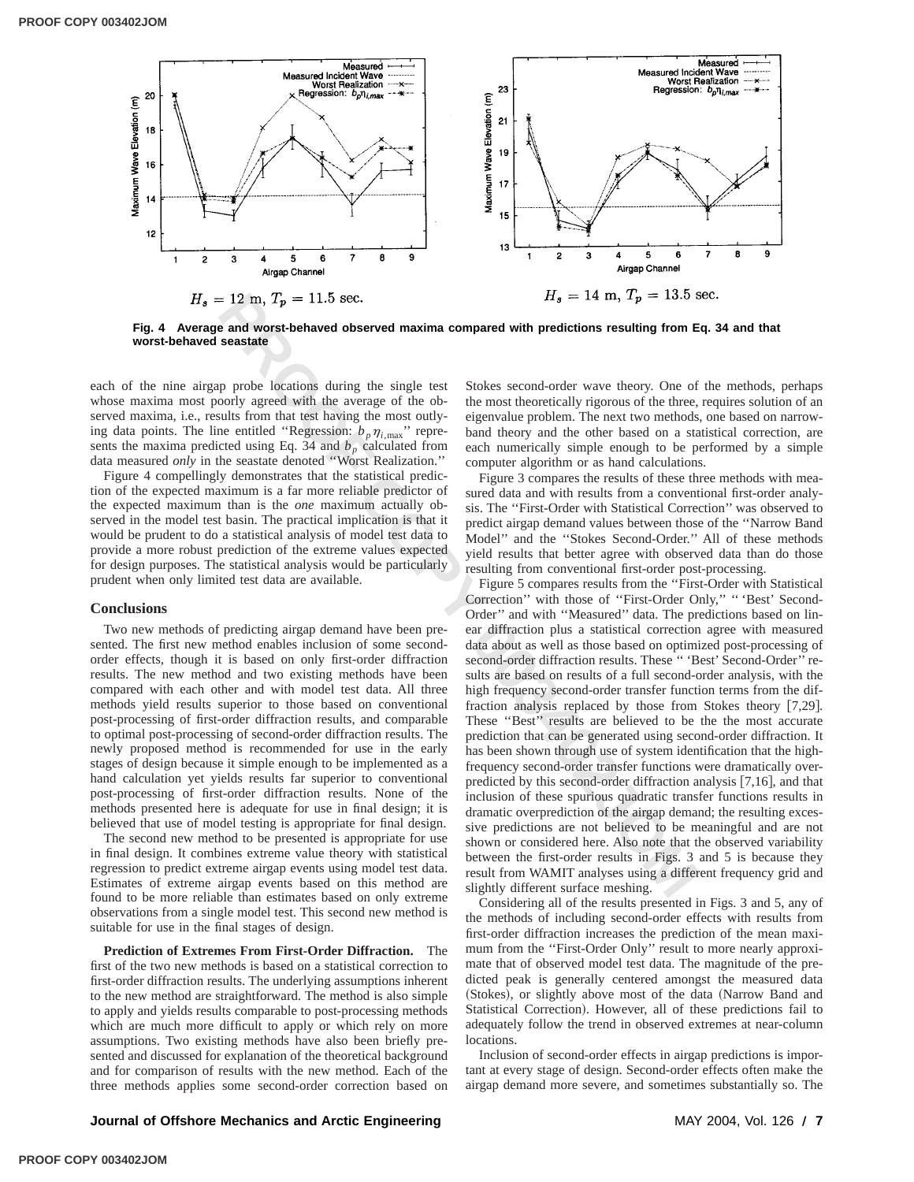

**Fig. 4 Average and worst-behaved observed maxima compared with predictions resulting from Eq. 34 and that worst-behaved seastate**

each of the nine airgap probe locations during the single test whose maxima most poorly agreed with the average of the observed maxima, i.e., results from that test having the most outlying data points. The line entitled "Regression:  $b_p \eta_{i,\text{max}}$ " represents the maxima predicted using Eq. 34 and  $b<sub>p</sub>$  calculated from data measured *only* in the seastate denoted ''Worst Realization.''

Figure 4 compellingly demonstrates that the statistical prediction of the expected maximum is a far more reliable predictor of the expected maximum than is the *one* maximum actually observed in the model test basin. The practical implication is that it would be prudent to do a statistical analysis of model test data to provide a more robust prediction of the extreme values expected for design purposes. The statistical analysis would be particularly prudent when only limited test data are available.

# **Conclusions**

Two new methods of predicting airgap demand have been presented. The first new method enables inclusion of some secondorder effects, though it is based on only first-order diffraction results. The new method and two existing methods have been compared with each other and with model test data. All three methods yield results superior to those based on conventional post-processing of first-order diffraction results, and comparable to optimal post-processing of second-order diffraction results. The newly proposed method is recommended for use in the early stages of design because it simple enough to be implemented as a hand calculation yet yields results far superior to conventional post-processing of first-order diffraction results. None of the methods presented here is adequate for use in final design; it is believed that use of model testing is appropriate for final design.

The second new method to be presented is appropriate for use in final design. It combines extreme value theory with statistical regression to predict extreme airgap events using model test data. Estimates of extreme airgap events based on this method are found to be more reliable than estimates based on only extreme observations from a single model test. This second new method is suitable for use in the final stages of design.

**Prediction of Extremes From First-Order Diffraction.** The first of the two new methods is based on a statistical correction to first-order diffraction results. The underlying assumptions inherent to the new method are straightforward. The method is also simple to apply and yields results comparable to post-processing methods which are much more difficult to apply or which rely on more assumptions. Two existing methods have also been briefly presented and discussed for explanation of the theoretical background and for comparison of results with the new method. Each of the three methods applies some second-order correction based on

Stokes second-order wave theory. One of the methods, perhaps the most theoretically rigorous of the three, requires solution of an eigenvalue problem. The next two methods, one based on narrowband theory and the other based on a statistical correction, are each numerically simple enough to be performed by a simple computer algorithm or as hand calculations.

Figure 3 compares the results of these three methods with measured data and with results from a conventional first-order analysis. The ''First-Order with Statistical Correction'' was observed to predict airgap demand values between those of the ''Narrow Band Model'' and the ''Stokes Second-Order.'' All of these methods yield results that better agree with observed data than do those resulting from conventional first-order post-processing.

**F<sub>B</sub>** = 12 m,  $T_p$  = 11.5 sec.<br> **FR**<sub>B</sub> = 14 m,  $T_p$  = 13.5 sec.<br> **FR**<sub>B</sub> = 13.5 second-order and **worst-behaved observed maxima compared with predictions resulting from Einstand<br>
integral probable considers the consider** Figure 5 compares results from the ''First-Order with Statistical Correction'' with those of ''First-Order Only,'' '' 'Best' Second-Order'' and with ''Measured'' data. The predictions based on linear diffraction plus a statistical correction agree with measured data about as well as those based on optimized post-processing of second-order diffraction results. These "'Best' Second-Order" results are based on results of a full second-order analysis, with the high frequency second-order transfer function terms from the diffraction analysis replaced by those from Stokes theory  $[7,29]$ . These ''Best'' results are believed to be the the most accurate prediction that can be generated using second-order diffraction. It has been shown through use of system identification that the highfrequency second-order transfer functions were dramatically overpredicted by this second-order diffraction analysis  $[7,16]$ , and that inclusion of these spurious quadratic transfer functions results in dramatic overprediction of the airgap demand; the resulting excessive predictions are not believed to be meaningful and are not shown or considered here. Also note that the observed variability between the first-order results in Figs. 3 and 5 is because they result from WAMIT analyses using a different frequency grid and slightly different surface meshing.

Considering all of the results presented in Figs. 3 and 5, any of the methods of including second-order effects with results from first-order diffraction increases the prediction of the mean maximum from the ''First-Order Only'' result to more nearly approximate that of observed model test data. The magnitude of the predicted peak is generally centered amongst the measured data (Stokes), or slightly above most of the data (Narrow Band and Statistical Correction). However, all of these predictions fail to adequately follow the trend in observed extremes at near-column locations.

Inclusion of second-order effects in airgap predictions is important at every stage of design. Second-order effects often make the airgap demand more severe, and sometimes substantially so. The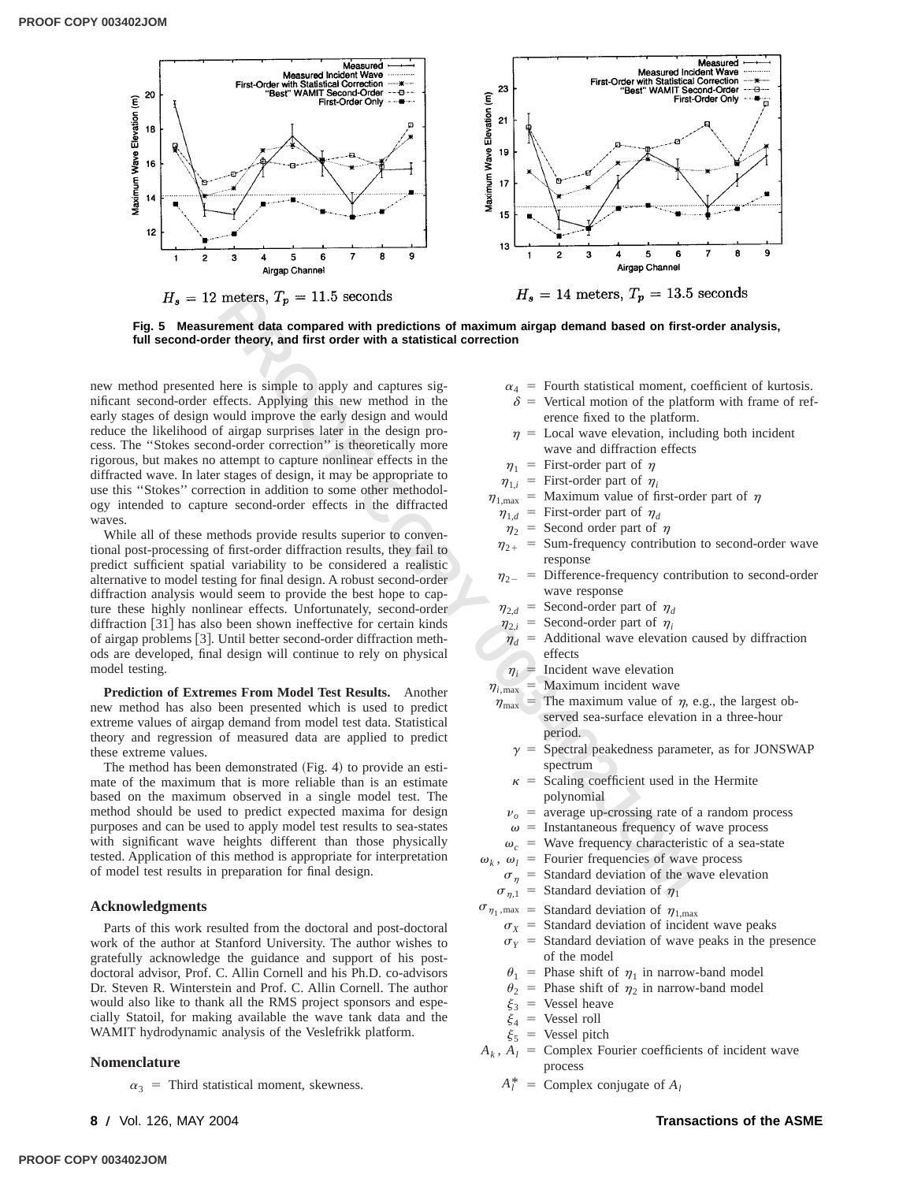

**Fig. 5 Measurement data compared with predictions of maximum airgap demand based on first-order analysis, full second-order theory, and first order with a statistical correction**

new method presented here is simple to apply and captures significant second-order effects. Applying this new method in the early stages of design would improve the early design and would reduce the likelihood of airgap surprises later in the design process. The ''Stokes second-order correction'' is theoretically more rigorous, but makes no attempt to capture nonlinear effects in the diffracted wave. In later stages of design, it may be appropriate to use this ''Stokes'' correction in addition to some other methodology intended to capture second-order effects in the diffracted waves.

12 meters,  $T_p = 14.5$  seconds<br> **Exercise the constant data connect with predictions of maximum airgap demand based on first-of-<br>
statement data compared with predictions of maximum airgap demand based on first-of-<br>
the th** While all of these methods provide results superior to conventional post-processing of first-order diffraction results, they fail to predict sufficient spatial variability to be considered a realistic alternative to model testing for final design. A robust second-order diffraction analysis would seem to provide the best hope to capture these highly nonlinear effects. Unfortunately, second-order diffraction [31] has also been shown ineffective for certain kinds of airgap problems [3]. Until better second-order diffraction methods are developed, final design will continue to rely on physical model testing.

**Prediction of Extremes From Model Test Results.** Another new method has also been presented which is used to predict extreme values of airgap demand from model test data. Statistical theory and regression of measured data are applied to predict these extreme values.

The method has been demonstrated  $(Fig. 4)$  to provide an estimate of the maximum that is more reliable than is an estimate based on the maximum observed in a single model test. The method should be used to predict expected maxima for design purposes and can be used to apply model test results to sea-states with significant wave heights different than those physically tested. Application of this method is appropriate for interpretation of model test results in preparation for final design.

# **Acknowledgments**

Parts of this work resulted from the doctoral and post-doctoral work of the author at Stanford University. The author wishes to gratefully acknowledge the guidance and support of his postdoctoral advisor, Prof. C. Allin Cornell and his Ph.D. co-advisors Dr. Steven R. Winterstein and Prof. C. Allin Cornell. The author would also like to thank all the RMS project sponsors and especially Statoil, for making available the wave tank data and the WAMIT hydrodynamic analysis of the Veslefrikk platform.

# **Nomenclature**

 $\alpha_3$  = Third statistical moment, skewness.

- $\alpha_4$  = Fourth statistical moment, coefficient of kurtosis.
- $\delta$  = Vertical motion of the platform with frame of reference fixed to the platform.
- $\eta$  = Local wave elevation, including both incident wave and diffraction effects
- $\eta_1$  = First-order part of  $\eta$
- $\eta_{1,i}$  = First-order part of  $\eta_i$
- $\eta_{1,\text{max}}$  = Maximum value of first-order part of  $\eta$

$$
\eta_{1,d} =
$$
 First-order part of  $\eta_d$ 

- $\eta_2$  = Second order part of  $\eta$
- $\eta_{2+}$  = Sum-frequency contribution to second-order wave response
- $\eta_{2-}$  = Difference-frequency contribution to second-order wave response
- $\eta_{2,d}$  = Second-order part of  $\eta_d$ <br> $\eta_{2,d}$  = Second-order part of *n*.
- $\eta_{2,i}$  = Second-order part of  $\eta_i$ <br>  $\eta_i$  = Additional wave elevation
- $\eta_d$  = Additional wave elevation caused by diffraction effects
- $\eta_i$  = Incident wave elevation
- $\eta_{i, \text{max}} =$  Maximum incident wave
- $\eta_{\text{max}}$  = The maximum value of  $\eta$ , e.g., the largest observed sea-surface elevation in a three-hour period.
	- $\gamma$  = Spectral peakedness parameter, as for JONSWAP spectrum
	- $\kappa$  = Scaling coefficient used in the Hermite polynomial
	- $v<sub>o</sub>$  = average up-crossing rate of a random process
	- $\omega$  = Instantaneous frequency of wave process
- $\omega_c$  = Wave frequency characteristic of a sea-state  $\omega_k$ ,  $\omega_l$  = Fourier frequencies of wave process
	-
	- $\omega_l$  = Fourier frequencies of wave process  $\sigma_r$  = Standard deviation of the wave eleva  $\sigma_{\eta}$  = Standard deviation of the wave elevation  $\sigma_{n,1}$  = Standard deviation of  $\eta_1$  $=$  Standard deviation of  $\eta_1$
- $\sigma_{\eta_1, \text{max}} =$  Standard deviation of  $\eta_{1, \text{max}}$ 
	- $\sigma_X$  = Standard deviation of incident wave peaks
	- $\sigma_Y$  = Standard deviation of wave peaks in the presence of the model
	- $\theta_1$  = Phase shift of  $\eta_1$  in narrow-band model
	- $\theta_2$  = Phase shift of  $\eta_2$  in narrow-band model
	- $\xi_3$  = Vessel heave
	- $\xi_4$  = Vessel roll
	- $\xi_5$  = Vessel pitch
- $A_k$ ,  $A_l$  = Complex Fourier coefficients of incident wave process
	- $A_l^*$  = Complex conjugate of  $A_l$